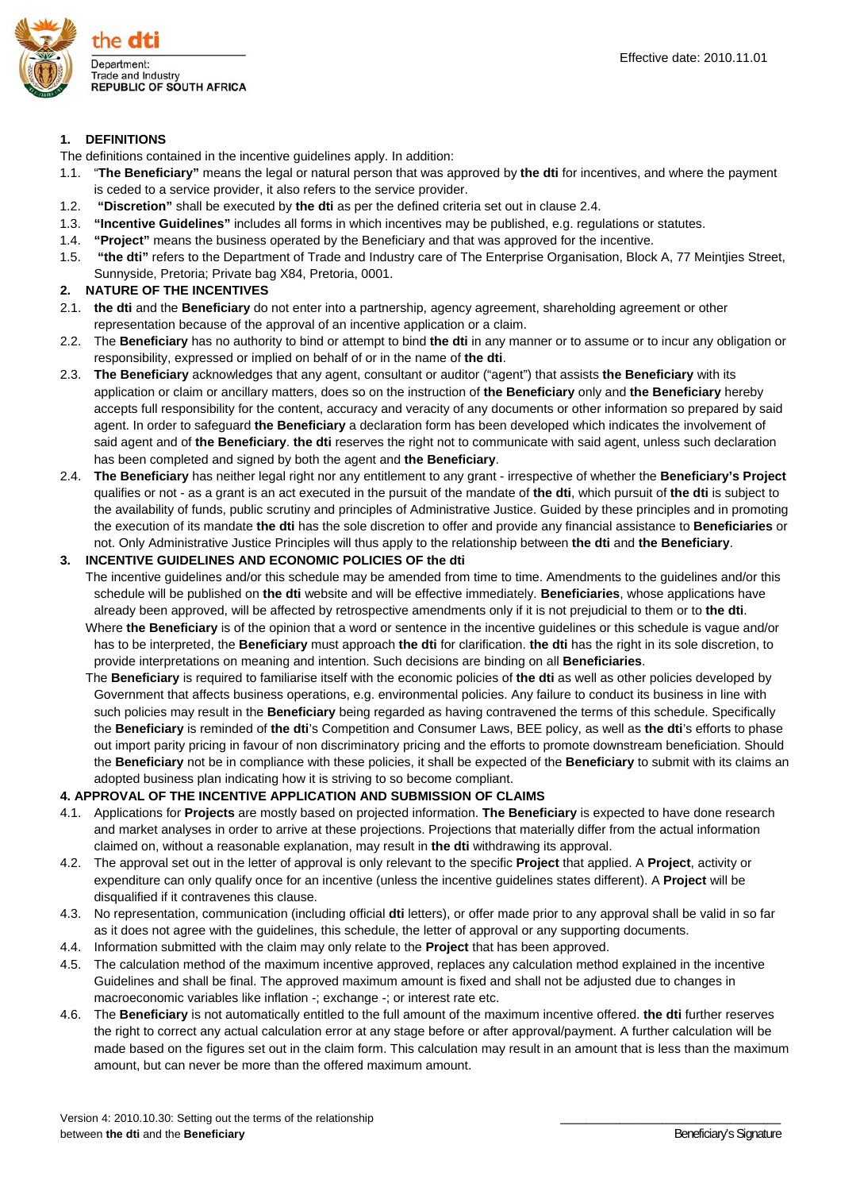

#### **1. DEFINITIONS**

The definitions contained in the incentive guidelines apply. In addition:

- 1.1. "**The Beneficiary"** means the legal or natural person that was approved by **the dti** for incentives, and where the payment is ceded to a service provider, it also refers to the service provider.
- 1.2. **"Discretion"** shall be executed by **the dti** as per the defined criteria set out in clause 2.4.
- 1.3. **"Incentive Guidelines"** includes all forms in which incentives may be published, e.g. regulations or statutes.
- 1.4. **"Project"** means the business operated by the Beneficiary and that was approved for the incentive.
- 1.5. **"the dti"** refers to the Department of Trade and Industry care of The Enterprise Organisation, Block A, 77 Meintjies Street, Sunnyside, Pretoria; Private bag X84, Pretoria, 0001.

#### **2. NATURE OF THE INCENTIVES**

- 2.1. **the dti** and the **Beneficiary** do not enter into a partnership, agency agreement, shareholding agreement or other representation because of the approval of an incentive application or a claim.
- 2.2. The **Beneficiary** has no authority to bind or attempt to bind **the dti** in any manner or to assume or to incur any obligation or responsibility, expressed or implied on behalf of or in the name of **the dti**.
- 2.3. **The Beneficiary** acknowledges that any agent, consultant or auditor ("agent") that assists **the Beneficiary** with its application or claim or ancillary matters, does so on the instruction of **the Beneficiary** only and **the Beneficiary** hereby accepts full responsibility for the content, accuracy and veracity of any documents or other information so prepared by said agent. In order to safeguard **the Beneficiary** a declaration form has been developed which indicates the involvement of said agent and of **the Beneficiary**. **the dti** reserves the right not to communicate with said agent, unless such declaration has been completed and signed by both the agent and **the Beneficiary**.
- 2.4. **The Beneficiary** has neither legal right nor any entitlement to any grant irrespective of whether the **Beneficiary's Project**  qualifies or not - as a grant is an act executed in the pursuit of the mandate of **the dti**, which pursuit of **the dti** is subject to the availability of funds, public scrutiny and principles of Administrative Justice. Guided by these principles and in promoting the execution of its mandate **the dti** has the sole discretion to offer and provide any financial assistance to **Beneficiaries** or not. Only Administrative Justice Principles will thus apply to the relationship between **the dti** and **the Beneficiary**.

#### **3. INCENTIVE GUIDELINES AND ECONOMIC POLICIES OF the dti**

- The incentive guidelines and/or this schedule may be amended from time to time. Amendments to the guidelines and/or this schedule will be published on **the dti** website and will be effective immediately. **Beneficiaries**, whose applications have already been approved, will be affected by retrospective amendments only if it is not prejudicial to them or to **the dti**.
- Where **the Beneficiary** is of the opinion that a word or sentence in the incentive guidelines or this schedule is vague and/or has to be interpreted, the **Beneficiary** must approach **the dti** for clarification. **the dti** has the right in its sole discretion, to provide interpretations on meaning and intention. Such decisions are binding on all **Beneficiaries**.
- The **Beneficiary** is required to familiarise itself with the economic policies of **the dti** as well as other policies developed by Government that affects business operations, e.g. environmental policies. Any failure to conduct its business in line with such policies may result in the **Beneficiary** being regarded as having contravened the terms of this schedule. Specifically the **Beneficiary** is reminded of **the dti**'s Competition and Consumer Laws, BEE policy, as well as **the dti**'s efforts to phase out import parity pricing in favour of non discriminatory pricing and the efforts to promote downstream beneficiation. Should the **Beneficiary** not be in compliance with these policies, it shall be expected of the **Beneficiary** to submit with its claims an adopted business plan indicating how it is striving to so become compliant.

### **4. APPROVAL OF THE INCENTIVE APPLICATION AND SUBMISSION OF CLAIMS**

- 4.1. Applications for **Projects** are mostly based on projected information. **The Beneficiary** is expected to have done research and market analyses in order to arrive at these projections. Projections that materially differ from the actual information claimed on, without a reasonable explanation, may result in **the dti** withdrawing its approval.
- 4.2. The approval set out in the letter of approval is only relevant to the specific **Project** that applied. A **Project**, activity or expenditure can only qualify once for an incentive (unless the incentive guidelines states different). A **Project** will be disqualified if it contravenes this clause.
- 4.3. No representation, communication (including official **dti** letters), or offer made prior to any approval shall be valid in so far as it does not agree with the guidelines, this schedule, the letter of approval or any supporting documents.
- 4.4. Information submitted with the claim may only relate to the **Project** that has been approved.
- 4.5. The calculation method of the maximum incentive approved, replaces any calculation method explained in the incentive Guidelines and shall be final. The approved maximum amount is fixed and shall not be adjusted due to changes in macroeconomic variables like inflation -; exchange -; or interest rate etc.
- 4.6. The **Beneficiary** is not automatically entitled to the full amount of the maximum incentive offered. **the dti** further reserves the right to correct any actual calculation error at any stage before or after approval/payment. A further calculation will be made based on the figures set out in the claim form. This calculation may result in an amount that is less than the maximum amount, but can never be more than the offered maximum amount.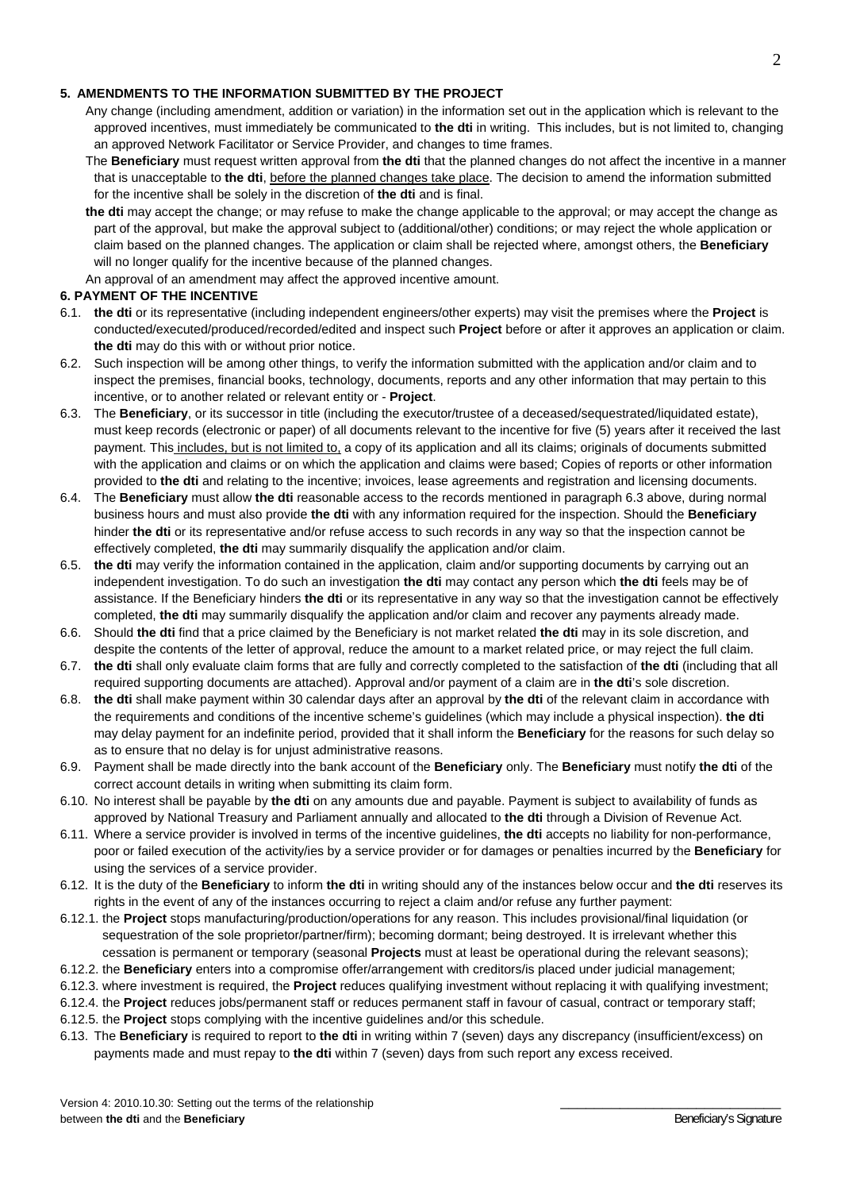### **5. AMENDMENTS TO THE INFORMATION SUBMITTED BY THE PROJECT**

- Any change (including amendment, addition or variation) in the information set out in the application which is relevant to the approved incentives, must immediately be communicated to **the dti** in writing. This includes, but is not limited to, changing an approved Network Facilitator or Service Provider, and changes to time frames.
- The **Beneficiary** must request written approval from **the dti** that the planned changes do not affect the incentive in a manner that is unacceptable to **the dti**, before the planned changes take place. The decision to amend the information submitted for the incentive shall be solely in the discretion of **the dti** and is final.
- **the dti** may accept the change; or may refuse to make the change applicable to the approval; or may accept the change as part of the approval, but make the approval subject to (additional/other) conditions; or may reject the whole application or claim based on the planned changes. The application or claim shall be rejected where, amongst others, the **Beneficiary**  will no longer qualify for the incentive because of the planned changes.

An approval of an amendment may affect the approved incentive amount.

## **6. PAYMENT OF THE INCENTIVE**

- 6.1. **the dti** or its representative (including independent engineers/other experts) may visit the premises where the **Project** is conducted/executed/produced/recorded/edited and inspect such **Project** before or after it approves an application or claim. **the dti** may do this with or without prior notice.
- 6.2. Such inspection will be among other things, to verify the information submitted with the application and/or claim and to inspect the premises, financial books, technology, documents, reports and any other information that may pertain to this incentive, or to another related or relevant entity or - **Project**.
- 6.3. The **Beneficiary**, or its successor in title (including the executor/trustee of a deceased/sequestrated/liquidated estate), must keep records (electronic or paper) of all documents relevant to the incentive for five (5) years after it received the last payment. This includes, but is not limited to, a copy of its application and all its claims; originals of documents submitted with the application and claims or on which the application and claims were based; Copies of reports or other information provided to **the dti** and relating to the incentive; invoices, lease agreements and registration and licensing documents.
- 6.4. The **Beneficiary** must allow **the dti** reasonable access to the records mentioned in paragraph 6.3 above, during normal business hours and must also provide **the dti** with any information required for the inspection. Should the **Beneficiary** hinder **the dti** or its representative and/or refuse access to such records in any way so that the inspection cannot be effectively completed, **the dti** may summarily disqualify the application and/or claim.
- 6.5. **the dti** may verify the information contained in the application, claim and/or supporting documents by carrying out an independent investigation. To do such an investigation **the dti** may contact any person which **the dti** feels may be of assistance. If the Beneficiary hinders **the dti** or its representative in any way so that the investigation cannot be effectively completed, **the dti** may summarily disqualify the application and/or claim and recover any payments already made.
- 6.6. Should **the dti** find that a price claimed by the Beneficiary is not market related **the dti** may in its sole discretion, and despite the contents of the letter of approval, reduce the amount to a market related price, or may reject the full claim.
- 6.7. **the dti** shall only evaluate claim forms that are fully and correctly completed to the satisfaction of **the dti** (including that all required supporting documents are attached). Approval and/or payment of a claim are in **the dti**'s sole discretion.
- 6.8. **the dti** shall make payment within 30 calendar days after an approval by **the dti** of the relevant claim in accordance with the requirements and conditions of the incentive scheme's guidelines (which may include a physical inspection). **the dti** may delay payment for an indefinite period, provided that it shall inform the **Beneficiary** for the reasons for such delay so as to ensure that no delay is for unjust administrative reasons.
- 6.9. Payment shall be made directly into the bank account of the **Beneficiary** only. The **Beneficiary** must notify **the dti** of the correct account details in writing when submitting its claim form.
- 6.10. No interest shall be payable by **the dti** on any amounts due and payable. Payment is subject to availability of funds as approved by National Treasury and Parliament annually and allocated to **the dti** through a Division of Revenue Act.
- 6.11. Where a service provider is involved in terms of the incentive guidelines, **the dti** accepts no liability for non-performance, poor or failed execution of the activity/ies by a service provider or for damages or penalties incurred by the **Beneficiary** for using the services of a service provider.
- 6.12. It is the duty of the **Beneficiary** to inform **the dti** in writing should any of the instances below occur and **the dti** reserves its rights in the event of any of the instances occurring to reject a claim and/or refuse any further payment:
- 6.12.1. the **Project** stops manufacturing/production/operations for any reason. This includes provisional/final liquidation (or sequestration of the sole proprietor/partner/firm); becoming dormant; being destroyed. It is irrelevant whether this cessation is permanent or temporary (seasonal **Projects** must at least be operational during the relevant seasons);
- 6.12.2. the **Beneficiary** enters into a compromise offer/arrangement with creditors/is placed under judicial management;
- 6.12.3. where investment is required, the **Project** reduces qualifying investment without replacing it with qualifying investment;
- 6.12.4. the **Project** reduces jobs/permanent staff or reduces permanent staff in favour of casual, contract or temporary staff;
- 6.12.5. the **Project** stops complying with the incentive guidelines and/or this schedule.
- 6.13. The **Beneficiary** is required to report to **the dti** in writing within 7 (seven) days any discrepancy (insufficient/excess) on payments made and must repay to **the dti** within 7 (seven) days from such report any excess received.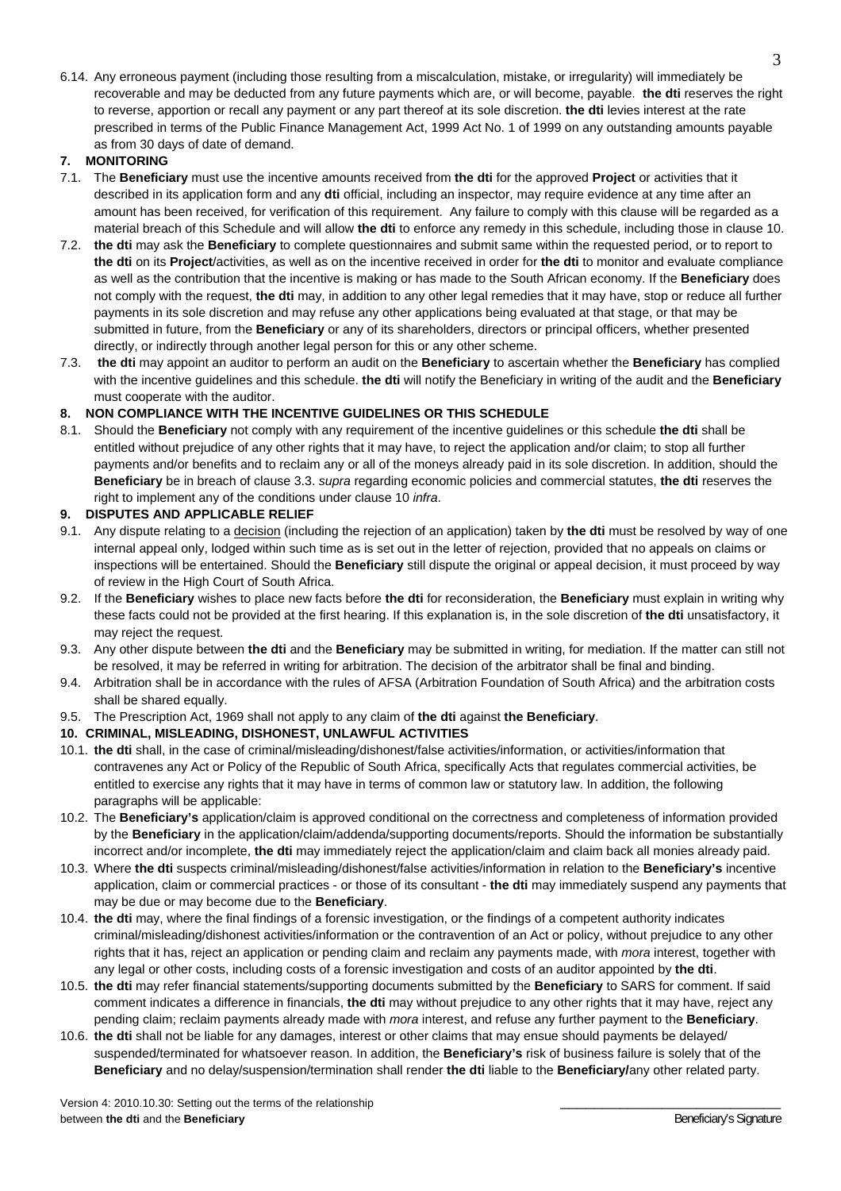6.14. Any erroneous payment (including those resulting from a miscalculation, mistake, or irregularity) will immediately be recoverable and may be deducted from any future payments which are, or will become, payable. **the dti** reserves the right to reverse, apportion or recall any payment or any part thereof at its sole discretion. **the dti** levies interest at the rate prescribed in terms of the Public Finance Management Act, 1999 Act No. 1 of 1999 on any outstanding amounts payable as from 30 days of date of demand.

## **7. MONITORING**

- 7.1. The **Beneficiary** must use the incentive amounts received from **the dti** for the approved **Project** or activities that it described in its application form and any **dti** official, including an inspector, may require evidence at any time after an amount has been received, for verification of this requirement. Any failure to comply with this clause will be regarded as a material breach of this Schedule and will allow **the dti** to enforce any remedy in this schedule, including those in clause 10.
- 7.2. **the dti** may ask the **Beneficiary** to complete questionnaires and submit same within the requested period, or to report to **the dti** on its **Project**/activities, as well as on the incentive received in order for **the dti** to monitor and evaluate compliance as well as the contribution that the incentive is making or has made to the South African economy. If the **Beneficiary** does not comply with the request, **the dti** may, in addition to any other legal remedies that it may have, stop or reduce all further payments in its sole discretion and may refuse any other applications being evaluated at that stage, or that may be submitted in future, from the **Beneficiary** or any of its shareholders, directors or principal officers, whether presented directly, or indirectly through another legal person for this or any other scheme.
- 7.3. **the dti** may appoint an auditor to perform an audit on the **Beneficiary** to ascertain whether the **Beneficiary** has complied with the incentive guidelines and this schedule. **the dti** will notify the Beneficiary in writing of the audit and the **Beneficiary** must cooperate with the auditor.

### **8. NON COMPLIANCE WITH THE INCENTIVE GUIDELINES OR THIS SCHEDULE**

8.1. Should the **Beneficiary** not comply with any requirement of the incentive guidelines or this schedule **the dti** shall be entitled without prejudice of any other rights that it may have, to reject the application and/or claim; to stop all further payments and/or benefits and to reclaim any or all of the moneys already paid in its sole discretion. In addition, should the **Beneficiary** be in breach of clause 3.3. *supra* regarding economic policies and commercial statutes, **the dti** reserves the right to implement any of the conditions under clause 10 *infra*.

## **9. DISPUTES AND APPLICABLE RELIEF**

- 9.1. Any dispute relating to a decision (including the rejection of an application) taken by **the dti** must be resolved by way of one internal appeal only, lodged within such time as is set out in the letter of rejection, provided that no appeals on claims or inspections will be entertained. Should the **Beneficiary** still dispute the original or appeal decision, it must proceed by way of review in the High Court of South Africa.
- 9.2. If the **Beneficiary** wishes to place new facts before **the dti** for reconsideration, the **Beneficiary** must explain in writing why these facts could not be provided at the first hearing. If this explanation is, in the sole discretion of **the dti** unsatisfactory, it may reject the request.
- 9.3. Any other dispute between **the dti** and the **Beneficiary** may be submitted in writing, for mediation. If the matter can still not be resolved, it may be referred in writing for arbitration. The decision of the arbitrator shall be final and binding.
- 9.4. Arbitration shall be in accordance with the rules of AFSA (Arbitration Foundation of South Africa) and the arbitration costs shall be shared equally.
- 9.5. The Prescription Act, 1969 shall not apply to any claim of **the dti** against **the Beneficiary**.

### **10. CRIMINAL, MISLEADING, DISHONEST, UNLAWFUL ACTIVITIES**

- 10.1. **the dti** shall, in the case of criminal/misleading/dishonest/false activities/information, or activities/information that contravenes any Act or Policy of the Republic of South Africa, specifically Acts that regulates commercial activities, be entitled to exercise any rights that it may have in terms of common law or statutory law. In addition, the following paragraphs will be applicable:
- 10.2. The **Beneficiary's** application/claim is approved conditional on the correctness and completeness of information provided by the **Beneficiary** in the application/claim/addenda/supporting documents/reports. Should the information be substantially incorrect and/or incomplete, **the dti** may immediately reject the application/claim and claim back all monies already paid.
- 10.3. Where **the dti** suspects criminal/misleading/dishonest/false activities/information in relation to the **Beneficiary's** incentive application, claim or commercial practices - or those of its consultant - **the dti** may immediately suspend any payments that may be due or may become due to the **Beneficiary**.
- 10.4. **the dti** may, where the final findings of a forensic investigation, or the findings of a competent authority indicates criminal/misleading/dishonest activities/information or the contravention of an Act or policy, without prejudice to any other rights that it has, reject an application or pending claim and reclaim any payments made, with *mora* interest, together with any legal or other costs, including costs of a forensic investigation and costs of an auditor appointed by **the dti**.
- 10.5. **the dti** may refer financial statements/supporting documents submitted by the **Beneficiary** to SARS for comment. If said comment indicates a difference in financials, **the dti** may without prejudice to any other rights that it may have, reject any pending claim; reclaim payments already made with *mora* interest, and refuse any further payment to the **Beneficiary**.
- 10.6. **the dti** shall not be liable for any damages, interest or other claims that may ensue should payments be delayed/ suspended/terminated for whatsoever reason. In addition, the **Beneficiary's** risk of business failure is solely that of the **Beneficiary** and no delay/suspension/termination shall render **the dti** liable to the **Beneficiary/**any other related party.